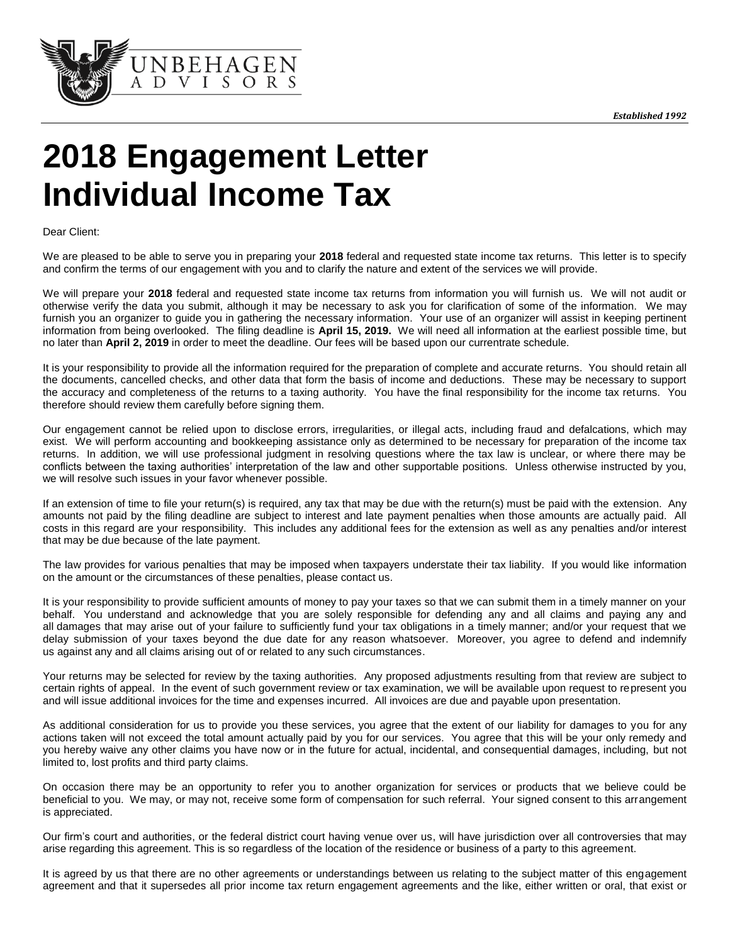

# **2018 Engagement Letter Individual Income Tax**

Dear Client:

We are pleased to be able to serve you in preparing your **2018** federal and requested state income tax returns. This letter is to specify and confirm the terms of our engagement with you and to clarify the nature and extent of the services we will provide.

We will prepare your **2018** federal and requested state income tax returns from information you will furnish us. We will not audit or otherwise verify the data you submit, although it may be necessary to ask you for clarification of some of the information. We may furnish you an organizer to guide you in gathering the necessary information. Your use of an organizer will assist in keeping pertinent information from being overlooked. The filing deadline is **April 15, 2019.** We will need all information at the earliest possible time, but no later than **April 2, 2019** in order to meet the deadline. Our fees will be based upon our currentrate schedule.

It is your responsibility to provide all the information required for the preparation of complete and accurate returns. You should retain all the documents, cancelled checks, and other data that form the basis of income and deductions. These may be necessary to support the accuracy and completeness of the returns to a taxing authority. You have the final responsibility for the income tax returns. You therefore should review them carefully before signing them.

Our engagement cannot be relied upon to disclose errors, irregularities, or illegal acts, including fraud and defalcations, which may exist. We will perform accounting and bookkeeping assistance only as determined to be necessary for preparation of the income tax returns. In addition, we will use professional judgment in resolving questions where the tax law is unclear, or where there may be conflicts between the taxing authorities' interpretation of the law and other supportable positions. Unless otherwise instructed by you, we will resolve such issues in your favor whenever possible.

If an extension of time to file your return(s) is required, any tax that may be due with the return(s) must be paid with the extension. Any amounts not paid by the filing deadline are subject to interest and late payment penalties when those amounts are actually paid. All costs in this regard are your responsibility. This includes any additional fees for the extension as well as any penalties and/or interest that may be due because of the late payment.

The law provides for various penalties that may be imposed when taxpayers understate their tax liability. If you would like information on the amount or the circumstances of these penalties, please contact us.

It is your responsibility to provide sufficient amounts of money to pay your taxes so that we can submit them in a timely manner on your behalf. You understand and acknowledge that you are solely responsible for defending any and all claims and paying any and all damages that may arise out of your failure to sufficiently fund your tax obligations in a timely manner; and/or your request that we delay submission of your taxes beyond the due date for any reason whatsoever. Moreover, you agree to defend and indemnify us against any and all claims arising out of or related to any such circumstances.

Your returns may be selected for review by the taxing authorities. Any proposed adjustments resulting from that review are subject to certain rights of appeal. In the event of such government review or tax examination, we will be available upon request to represent you and will issue additional invoices for the time and expenses incurred. All invoices are due and payable upon presentation.

As additional consideration for us to provide you these services, you agree that the extent of our liability for damages to you for any actions taken will not exceed the total amount actually paid by you for our services. You agree that this will be your only remedy and you hereby waive any other claims you have now or in the future for actual, incidental, and consequential damages, including, but not limited to, lost profits and third party claims.

On occasion there may be an opportunity to refer you to another organization for services or products that we believe could be beneficial to you. We may, or may not, receive some form of compensation for such referral. Your signed consent to this arrangement is appreciated.

Our firm's court and authorities, or the federal district court having venue over us, will have jurisdiction over all controversies that may arise regarding this agreement. This is so regardless of the location of the residence or business of a party to this agreement.

It is agreed by us that there are no other agreements or understandings between us relating to the subject matter of this engagement agreement and that it supersedes all prior income tax return engagement agreements and the like, either written or oral, that exist or